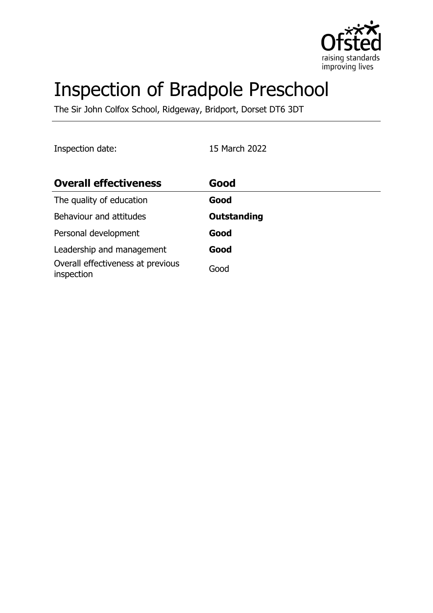

# Inspection of Bradpole Preschool

The Sir John Colfox School, Ridgeway, Bridport, Dorset DT6 3DT

Inspection date: 15 March 2022

| <b>Overall effectiveness</b>                    | Good               |
|-------------------------------------------------|--------------------|
| The quality of education                        | Good               |
| Behaviour and attitudes                         | <b>Outstanding</b> |
| Personal development                            | Good               |
| Leadership and management                       | Good               |
| Overall effectiveness at previous<br>inspection | Good               |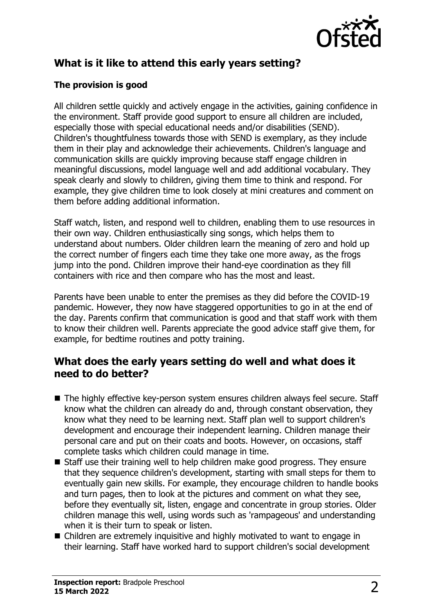

# **What is it like to attend this early years setting?**

#### **The provision is good**

All children settle quickly and actively engage in the activities, gaining confidence in the environment. Staff provide good support to ensure all children are included, especially those with special educational needs and/or disabilities (SEND). Children's thoughtfulness towards those with SEND is exemplary, as they include them in their play and acknowledge their achievements. Children's language and communication skills are quickly improving because staff engage children in meaningful discussions, model language well and add additional vocabulary. They speak clearly and slowly to children, giving them time to think and respond. For example, they give children time to look closely at mini creatures and comment on them before adding additional information.

Staff watch, listen, and respond well to children, enabling them to use resources in their own way. Children enthusiastically sing songs, which helps them to understand about numbers. Older children learn the meaning of zero and hold up the correct number of fingers each time they take one more away, as the frogs jump into the pond. Children improve their hand-eye coordination as they fill containers with rice and then compare who has the most and least.

Parents have been unable to enter the premises as they did before the COVID-19 pandemic. However, they now have staggered opportunities to go in at the end of the day. Parents confirm that communication is good and that staff work with them to know their children well. Parents appreciate the good advice staff give them, for example, for bedtime routines and potty training.

### **What does the early years setting do well and what does it need to do better?**

- The highly effective key-person system ensures children always feel secure. Staff know what the children can already do and, through constant observation, they know what they need to be learning next. Staff plan well to support children's development and encourage their independent learning. Children manage their personal care and put on their coats and boots. However, on occasions, staff complete tasks which children could manage in time.
- $\blacksquare$  Staff use their training well to help children make good progress. They ensure that they sequence children's development, starting with small steps for them to eventually gain new skills. For example, they encourage children to handle books and turn pages, then to look at the pictures and comment on what they see, before they eventually sit, listen, engage and concentrate in group stories. Older children manage this well, using words such as 'rampageous' and understanding when it is their turn to speak or listen.
- $\blacksquare$  Children are extremely inquisitive and highly motivated to want to engage in their learning. Staff have worked hard to support children's social development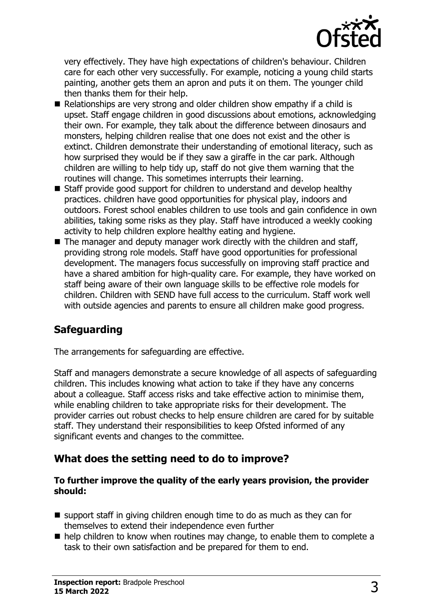

very effectively. They have high expectations of children's behaviour. Children care for each other very successfully. For example, noticing a young child starts painting, another gets them an apron and puts it on them. The younger child then thanks them for their help.

- $\blacksquare$  Relationships are very strong and older children show empathy if a child is upset. Staff engage children in good discussions about emotions, acknowledging their own. For example, they talk about the difference between dinosaurs and monsters, helping children realise that one does not exist and the other is extinct. Children demonstrate their understanding of emotional literacy, such as how surprised they would be if they saw a giraffe in the car park. Although children are willing to help tidy up, staff do not give them warning that the routines will change. This sometimes interrupts their learning.
- Staff provide good support for children to understand and develop healthy practices. children have good opportunities for physical play, indoors and outdoors. Forest school enables children to use tools and gain confidence in own abilities, taking some risks as they play. Staff have introduced a weekly cooking activity to help children explore healthy eating and hygiene.
- $\blacksquare$  The manager and deputy manager work directly with the children and staff, providing strong role models. Staff have good opportunities for professional development. The managers focus successfully on improving staff practice and have a shared ambition for high-quality care. For example, they have worked on staff being aware of their own language skills to be effective role models for children. Children with SEND have full access to the curriculum. Staff work well with outside agencies and parents to ensure all children make good progress.

## **Safeguarding**

The arrangements for safeguarding are effective.

Staff and managers demonstrate a secure knowledge of all aspects of safeguarding children. This includes knowing what action to take if they have any concerns about a colleague. Staff access risks and take effective action to minimise them, while enabling children to take appropriate risks for their development. The provider carries out robust checks to help ensure children are cared for by suitable staff. They understand their responsibilities to keep Ofsted informed of any significant events and changes to the committee.

#### **What does the setting need to do to improve?**

#### **To further improve the quality of the early years provision, the provider should:**

- $\blacksquare$  support staff in giving children enough time to do as much as they can for themselves to extend their independence even further
- $\blacksquare$  help children to know when routines may change, to enable them to complete a task to their own satisfaction and be prepared for them to end.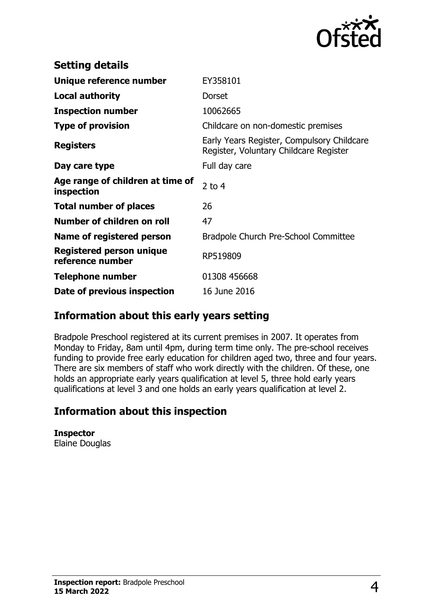

| <b>Setting details</b>                         |                                                                                      |
|------------------------------------------------|--------------------------------------------------------------------------------------|
| Unique reference number                        | EY358101                                                                             |
| <b>Local authority</b>                         | Dorset                                                                               |
| <b>Inspection number</b>                       | 10062665                                                                             |
| <b>Type of provision</b>                       | Childcare on non-domestic premises                                                   |
| <b>Registers</b>                               | Early Years Register, Compulsory Childcare<br>Register, Voluntary Childcare Register |
| Day care type                                  | Full day care                                                                        |
| Age range of children at time of<br>inspection | 2 to $4$                                                                             |
| <b>Total number of places</b>                  | 26                                                                                   |
| Number of children on roll                     | 47                                                                                   |
| Name of registered person                      | Bradpole Church Pre-School Committee                                                 |
| Registered person unique<br>reference number   | RP519809                                                                             |
| <b>Telephone number</b>                        | 01308 456668                                                                         |
| Date of previous inspection                    | 16 June 2016                                                                         |

#### **Information about this early years setting**

Bradpole Preschool registered at its current premises in 2007. It operates from Monday to Friday, 8am until 4pm, during term time only. The pre-school receives funding to provide free early education for children aged two, three and four years. There are six members of staff who work directly with the children. Of these, one holds an appropriate early years qualification at level 5, three hold early years qualifications at level 3 and one holds an early years qualification at level 2.

#### **Information about this inspection**

**Inspector** Elaine Douglas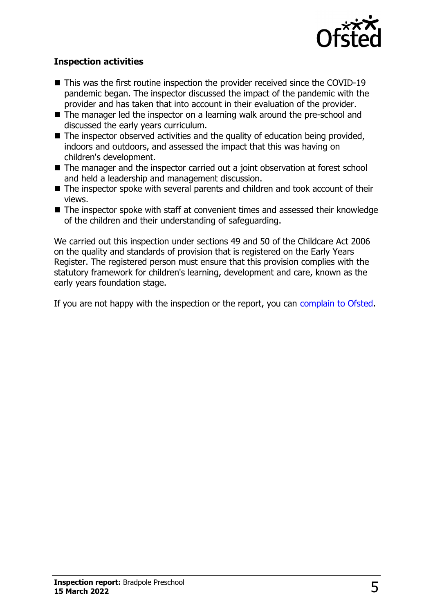

#### **Inspection activities**

- $\blacksquare$  This was the first routine inspection the provider received since the COVID-19 pandemic began. The inspector discussed the impact of the pandemic with the provider and has taken that into account in their evaluation of the provider.
- $\blacksquare$  The manager led the inspector on a learning walk around the pre-school and discussed the early years curriculum.
- $\blacksquare$  The inspector observed activities and the quality of education being provided, indoors and outdoors, and assessed the impact that this was having on children's development.
- $\blacksquare$  The manager and the inspector carried out a joint observation at forest school and held a leadership and management discussion.
- $\blacksquare$  The inspector spoke with several parents and children and took account of their views.
- $\blacksquare$  The inspector spoke with staff at convenient times and assessed their knowledge of the children and their understanding of safeguarding.

We carried out this inspection under sections 49 and 50 of the Childcare Act 2006 on the quality and standards of provision that is registered on the Early Years Register. The registered person must ensure that this provision complies with the statutory framework for children's learning, development and care, known as the early years foundation stage.

If you are not happy with the inspection or the report, you can [complain to Ofsted](http://www.gov.uk/complain-ofsted-report).